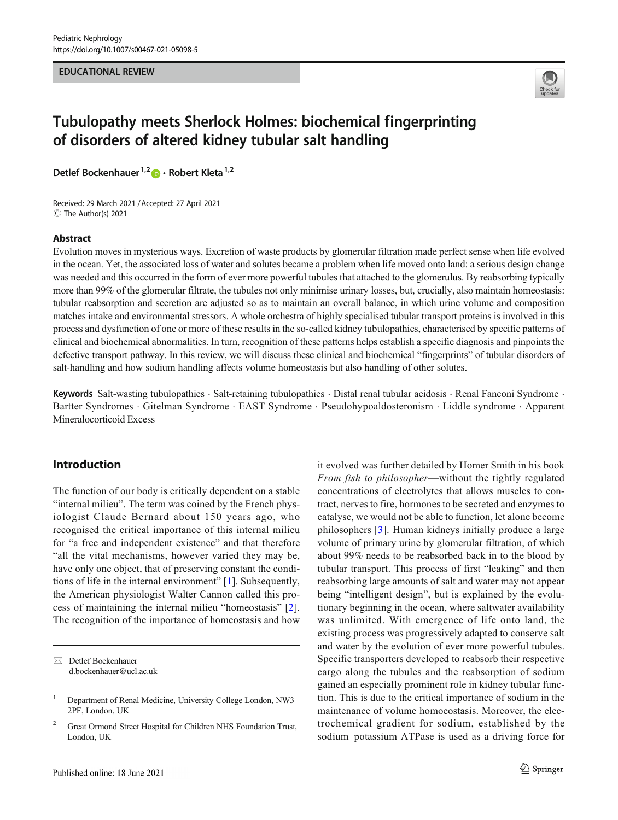#### EDUCATIONAL REVIEW



## Tubulopathy meets Sherlock Holmes: biochemical fingerprinting of disorders of altered kidney tubular salt handling

Detlef Bockenhauer<sup>1,2</sup> D · Robert Kleta<sup>1,2</sup>

Received: 29 March 2021 /Accepted: 27 April 2021 C The Author(s) 2021

#### Abstract

Evolution moves in mysterious ways. Excretion of waste products by glomerular filtration made perfect sense when life evolved in the ocean. Yet, the associated loss of water and solutes became a problem when life moved onto land: a serious design change was needed and this occurred in the form of ever more powerful tubules that attached to the glomerulus. By reabsorbing typically more than 99% of the glomerular filtrate, the tubules not only minimise urinary losses, but, crucially, also maintain homeostasis: tubular reabsorption and secretion are adjusted so as to maintain an overall balance, in which urine volume and composition matches intake and environmental stressors. A whole orchestra of highly specialised tubular transport proteins is involved in this process and dysfunction of one or more of these results in the so-called kidney tubulopathies, characterised by specific patterns of clinical and biochemical abnormalities. In turn, recognition of these patterns helps establish a specific diagnosis and pinpoints the defective transport pathway. In this review, we will discuss these clinical and biochemical "fingerprints" of tubular disorders of salt-handling and how sodium handling affects volume homeostasis but also handling of other solutes.

Keywords Salt-wasting tubulopathies · Salt-retaining tubulopathies · Distal renal tubular acidosis · Renal Fanconi Syndrome · Bartter Syndromes . Gitelman Syndrome . EAST Syndrome . Pseudohypoaldosteronism . Liddle syndrome . Apparent Mineralocorticoid Excess

## Introduction

The function of our body is critically dependent on a stable "internal milieu". The term was coined by the French physiologist Claude Bernard about 150 years ago, who recognised the critical importance of this internal milieu for "a free and independent existence" and that therefore "all the vital mechanisms, however varied they may be, have only one object, that of preserving constant the conditions of life in the internal environment" [[1\]](#page-7-0). Subsequently, the American physiologist Walter Cannon called this process of maintaining the internal milieu "homeostasis" [\[2](#page-7-0)]. The recognition of the importance of homeostasis and how

it evolved was further detailed by Homer Smith in his book From fish to philosopher—without the tightly regulated concentrations of electrolytes that allows muscles to contract, nerves to fire, hormones to be secreted and enzymes to catalyse, we would not be able to function, let alone become philosophers [\[3\]](#page-7-0). Human kidneys initially produce a large volume of primary urine by glomerular filtration, of which about 99% needs to be reabsorbed back in to the blood by tubular transport. This process of first "leaking" and then reabsorbing large amounts of salt and water may not appear being "intelligent design", but is explained by the evolutionary beginning in the ocean, where saltwater availability was unlimited. With emergence of life onto land, the existing process was progressively adapted to conserve salt and water by the evolution of ever more powerful tubules. Specific transporters developed to reabsorb their respective cargo along the tubules and the reabsorption of sodium gained an especially prominent role in kidney tubular function. This is due to the critical importance of sodium in the maintenance of volume homoeostasis. Moreover, the electrochemical gradient for sodium, established by the sodium–potassium ATPase is used as a driving force for

 $\boxtimes$  Detlef Bockenhauer [d.bockenhauer@ucl.ac.uk](mailto:d.bockenhauer@ucl.ac.uk)

<sup>&</sup>lt;sup>1</sup> Department of Renal Medicine, University College London, NW3 2PF, London, UK

<sup>&</sup>lt;sup>2</sup> Great Ormond Street Hospital for Children NHS Foundation Trust, London, UK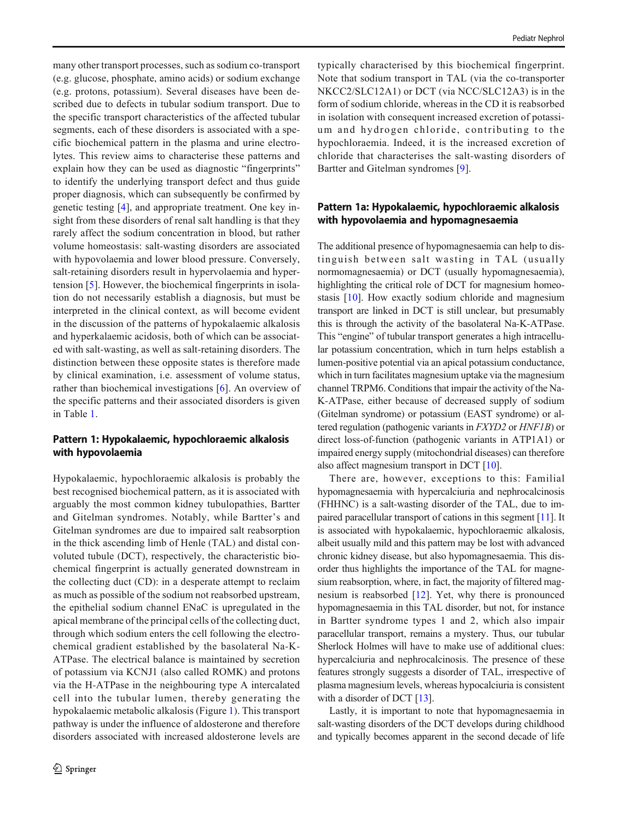many other transport processes, such as sodium co-transport (e.g. glucose, phosphate, amino acids) or sodium exchange (e.g. protons, potassium). Several diseases have been described due to defects in tubular sodium transport. Due to the specific transport characteristics of the affected tubular segments, each of these disorders is associated with a specific biochemical pattern in the plasma and urine electrolytes. This review aims to characterise these patterns and explain how they can be used as diagnostic "fingerprints" to identify the underlying transport defect and thus guide proper diagnosis, which can subsequently be confirmed by genetic testing [\[4\]](#page-7-0), and appropriate treatment. One key insight from these disorders of renal salt handling is that they rarely affect the sodium concentration in blood, but rather volume homeostasis: salt-wasting disorders are associated with hypovolaemia and lower blood pressure. Conversely, salt-retaining disorders result in hypervolaemia and hypertension [[5\]](#page-7-0). However, the biochemical fingerprints in isolation do not necessarily establish a diagnosis, but must be interpreted in the clinical context, as will become evident in the discussion of the patterns of hypokalaemic alkalosis and hyperkalaemic acidosis, both of which can be associated with salt-wasting, as well as salt-retaining disorders. The distinction between these opposite states is therefore made by clinical examination, i.e. assessment of volume status, rather than biochemical investigations [[6\]](#page-7-0). An overview of the specific patterns and their associated disorders is given in Table [1.](#page-2-0)

## Pattern 1: Hypokalaemic, hypochloraemic alkalosis with hypovolaemia

Hypokalaemic, hypochloraemic alkalosis is probably the best recognised biochemical pattern, as it is associated with arguably the most common kidney tubulopathies, Bartter and Gitelman syndromes. Notably, while Bartter's and Gitelman syndromes are due to impaired salt reabsorption in the thick ascending limb of Henle (TAL) and distal convoluted tubule (DCT), respectively, the characteristic biochemical fingerprint is actually generated downstream in the collecting duct (CD): in a desperate attempt to reclaim as much as possible of the sodium not reabsorbed upstream, the epithelial sodium channel ENaC is upregulated in the apical membrane of the principal cells of the collecting duct, through which sodium enters the cell following the electrochemical gradient established by the basolateral Na-K-ATPase. The electrical balance is maintained by secretion of potassium via KCNJ1 (also called ROMK) and protons via the H-ATPase in the neighbouring type A intercalated cell into the tubular lumen, thereby generating the hypokalaemic metabolic alkalosis (Figure [1\)](#page-3-0). This transport pathway is under the influence of aldosterone and therefore disorders associated with increased aldosterone levels are typically characterised by this biochemical fingerprint. Note that sodium transport in TAL (via the co-transporter NKCC2/SLC12A1) or DCT (via NCC/SLC12A3) is in the form of sodium chloride, whereas in the CD it is reabsorbed in isolation with consequent increased excretion of potassium and hydrogen chloride, contributing to the hypochloraemia. Indeed, it is the increased excretion of chloride that characterises the salt-wasting disorders of Bartter and Gitelman syndromes [\[9](#page-7-0)].

## Pattern 1a: Hypokalaemic, hypochloraemic alkalosis with hypovolaemia and hypomagnesaemia

The additional presence of hypomagnesaemia can help to distinguish between salt wasting in TAL (usually normomagnesaemia) or DCT (usually hypomagnesaemia), highlighting the critical role of DCT for magnesium homeostasis [[10\]](#page-7-0). How exactly sodium chloride and magnesium transport are linked in DCT is still unclear, but presumably this is through the activity of the basolateral Na-K-ATPase. This "engine" of tubular transport generates a high intracellular potassium concentration, which in turn helps establish a lumen-positive potential via an apical potassium conductance, which in turn facilitates magnesium uptake via the magnesium channel TRPM6. Conditions that impair the activity of the Na-K-ATPase, either because of decreased supply of sodium (Gitelman syndrome) or potassium (EAST syndrome) or altered regulation (pathogenic variants in FXYD2 or HNF1B) or direct loss-of-function (pathogenic variants in ATP1A1) or impaired energy supply (mitochondrial diseases) can therefore also affect magnesium transport in DCT [[10](#page-7-0)].

There are, however, exceptions to this: Familial hypomagnesaemia with hypercalciuria and nephrocalcinosis (FHHNC) is a salt-wasting disorder of the TAL, due to impaired paracellular transport of cations in this segment [[11\]](#page-7-0). It is associated with hypokalaemic, hypochloraemic alkalosis, albeit usually mild and this pattern may be lost with advanced chronic kidney disease, but also hypomagnesaemia. This disorder thus highlights the importance of the TAL for magnesium reabsorption, where, in fact, the majority of filtered magnesium is reabsorbed [[12\]](#page-7-0). Yet, why there is pronounced hypomagnesaemia in this TAL disorder, but not, for instance in Bartter syndrome types 1 and 2, which also impair paracellular transport, remains a mystery. Thus, our tubular Sherlock Holmes will have to make use of additional clues: hypercalciuria and nephrocalcinosis. The presence of these features strongly suggests a disorder of TAL, irrespective of plasma magnesium levels, whereas hypocalciuria is consistent with a disorder of DCT [\[13](#page-7-0)].

Lastly, it is important to note that hypomagnesaemia in salt-wasting disorders of the DCT develops during childhood and typically becomes apparent in the second decade of life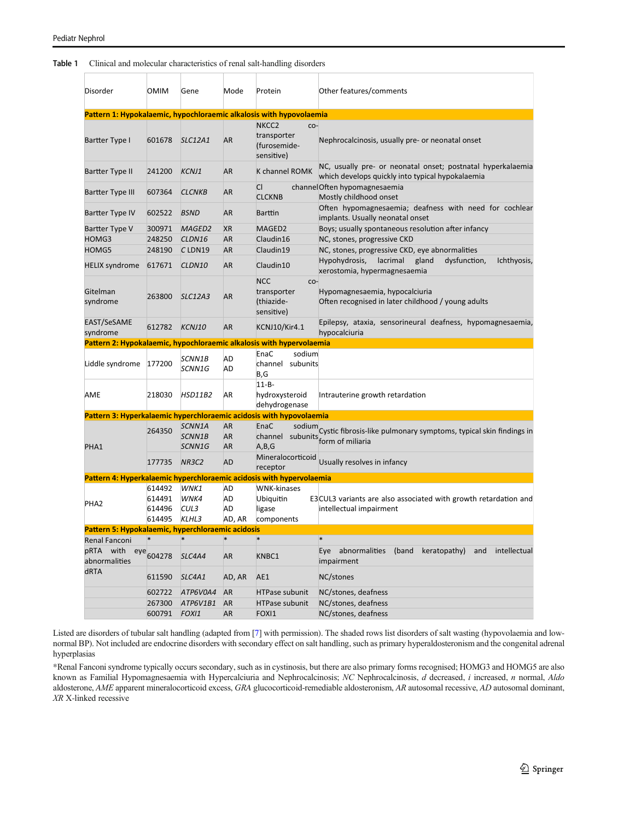<span id="page-2-0"></span>

| Table 1 | Clinical and molecular characteristics of renal salt-handling disorders |  |  |
|---------|-------------------------------------------------------------------------|--|--|
|---------|-------------------------------------------------------------------------|--|--|

| Disorder                                          | OMIM                                 | Gene                          | Mode                                | Protein                                                               | Other features/comments                                                                                         |
|---------------------------------------------------|--------------------------------------|-------------------------------|-------------------------------------|-----------------------------------------------------------------------|-----------------------------------------------------------------------------------------------------------------|
|                                                   |                                      |                               |                                     | Pattern 1: Hypokalaemic, hypochloraemic alkalosis with hypovolaemia   |                                                                                                                 |
| Bartter Type I                                    | 601678                               | <b>SLC12A1</b>                | <b>AR</b>                           | NKCC <sub>2</sub><br>co-<br>transporter<br>(furosemide-<br>sensitive) | Nephrocalcinosis, usually pre- or neonatal onset                                                                |
| <b>Bartter Type II</b>                            | 241200                               | <b>KCNJ1</b>                  | <b>AR</b>                           | K channel ROMK                                                        | NC, usually pre- or neonatal onset; postnatal hyperkalaemia<br>which develops quickly into typical hypokalaemia |
| <b>Bartter Type III</b>                           | 607364                               | <b>CLCNKB</b>                 | <b>AR</b>                           | <b>CI</b><br><b>CLCKNB</b>                                            | channelOften hypomagnesaemia<br>Mostly childhood onset                                                          |
| Bartter Type IV                                   | 602522                               | <b>BSND</b>                   | AR                                  | <b>Barttin</b>                                                        | Often hypomagnesaemia; deafness with need for cochlear<br>implants. Usually neonatal onset                      |
| <b>Bartter Type V</b>                             | 300971                               | MAGED2                        | <b>XR</b>                           | MAGED2                                                                | Boys; usually spontaneous resolution after infancy                                                              |
| HOMG3                                             | 248250                               | CLDN16                        | <b>AR</b>                           | Claudin16                                                             | NC, stones, progressive CKD                                                                                     |
| HOMG5                                             | 248190                               | $C$ LDN19                     | <b>AR</b>                           | Claudin19                                                             | NC, stones, progressive CKD, eye abnormalities                                                                  |
| <b>HELIX</b> syndrome                             | 617671                               | CLDN10                        | <b>AR</b>                           | Claudin10                                                             | Hypohydrosis,<br>lacrimal<br>gland<br>dysfunction,<br>Ichthyosis,<br>xerostomia, hypermagnesaemia               |
| Gitelman<br>syndrome                              | 263800                               | <b>SLC12A3</b>                | AR                                  | <b>NCC</b><br>co-<br>transporter<br>(thiazide-<br>sensitive)          | Hypomagnesaemia, hypocalciuria<br>Often recognised in later childhood / young adults                            |
| EAST/SeSAME<br>syndrome                           | 612782                               | KCNJ10                        | <b>AR</b>                           | KCNJ10/Kir4.1                                                         | Epilepsy, ataxia, sensorineural deafness, hypomagnesaemia,<br>hypocalciuria                                     |
|                                                   |                                      |                               |                                     | Pattern 2: Hypokalaemic, hypochloraemic alkalosis with hypervolaemia  |                                                                                                                 |
| Liddle syndrome   177200                          |                                      | SCNN1B<br>SCNN1G              | AD<br>AD                            | EnaC<br>sodium<br>channel subunits<br>B,G                             |                                                                                                                 |
| AME                                               | 218030                               | <b>HSD11B2</b>                | AR                                  | $11 - B -$<br>hydroxysteroid<br>dehydrogenase                         | Intrauterine growth retardation                                                                                 |
|                                                   |                                      |                               |                                     | Pattern 3: Hyperkalaemic hyperchloraemic acidosis with hypovolaemia   |                                                                                                                 |
| PHA1                                              | 264350                               | SCNN1A<br>SCNN1B<br>SCNN1G    | <b>AR</b><br><b>AR</b><br><b>AR</b> | EnaC<br>channel subunits form of miliaria<br>A,B,G                    | sodium<br>statiscistic fibrosis-like pulmonary symptoms, typical skin findings in                               |
|                                                   | 177735                               | <b>NR3C2</b>                  | AD                                  | Mineralocorticoid<br>receptor                                         | Usually resolves in infancy                                                                                     |
|                                                   |                                      |                               |                                     | Pattern 4: Hyperkalaemic hyperchloraemic acidosis with hypervolaemia  |                                                                                                                 |
| PHA <sub>2</sub>                                  | 614492<br>614491<br>614496<br>614495 | WNK1<br>WNK4<br>CUL3<br>KLHL3 | AD<br>AD<br>AD<br>AD, AR            | <b>WNK-kinases</b><br>Ubiquitin<br>ligase<br>components               | E3CUL3 variants are also associated with growth retardation and<br>intellectual impairment                      |
| Pattern 5: Hypokalaemic, hyperchloraemic acidosis |                                      |                               |                                     |                                                                       |                                                                                                                 |
| Renal Fanconi                                     |                                      |                               | $\ast$                              |                                                                       |                                                                                                                 |
| pRTA with<br>abnormalities                        | eye <sub>604278</sub>                | SLC4A4                        | <b>AR</b>                           | KNBC1                                                                 | Eye abnormalities<br>(band<br>keratopathy)<br>and<br>intellectual<br>impairment                                 |
| <b>dRTA</b>                                       | 611590                               | SLC4A1                        | AD, AR                              | AE1                                                                   | NC/stones                                                                                                       |
|                                                   | 602722                               | ATP6V0A4                      | <b>AR</b>                           | <b>HTPase subunit</b>                                                 | NC/stones, deafness                                                                                             |
|                                                   | 267300                               | ATP6V1B1                      | <b>AR</b>                           | <b>HTPase subunit</b>                                                 | NC/stones, deafness                                                                                             |
|                                                   | 600791                               | FOXI1                         | <b>AR</b>                           | FOXI1                                                                 | NC/stones, deafness                                                                                             |

Listed are disorders of tubular salt handling (adapted from [[7\]](#page-7-0) with permission). The shaded rows list disorders of salt wasting (hypovolaemia and lownormal BP). Not included are endocrine disorders with secondary effect on salt handling, such as primary hyperaldosteronism and the congenital adrenal hyperplasias

\*Renal Fanconi syndrome typically occurs secondary, such as in cystinosis, but there are also primary forms recognised; HOMG3 and HOMG5 are also known as Familial Hypomagnesaemia with Hypercalciuria and Nephrocalcinosis; NC Nephrocalcinosis, d decreased, i increased, n normal, Aldo aldosterone, AME apparent mineralocorticoid excess, GRA glucocorticoid-remediable aldosteronism, AR autosomal recessive, AD autosomal dominant, XR X-linked recessive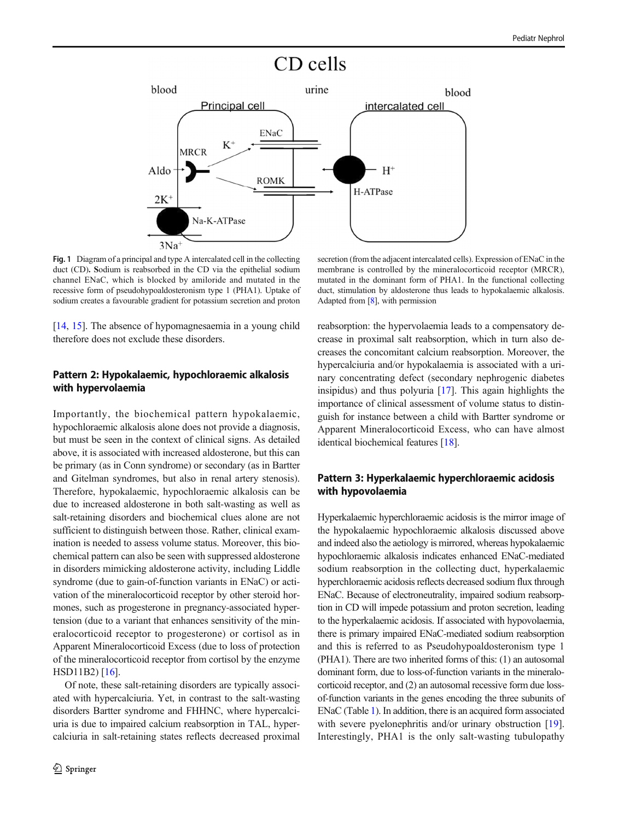# CD cells

<span id="page-3-0"></span>

Fig. 1 Diagram of a principal and type A intercalated cell in the collecting duct (CD). Sodium is reabsorbed in the CD via the epithelial sodium channel ENaC, which is blocked by amiloride and mutated in the recessive form of pseudohypoaldosteronism type 1 (PHA1). Uptake of sodium creates a favourable gradient for potassium secretion and proton

[\[14,](#page-7-0) [15\]](#page-7-0). The absence of hypomagnesaemia in a young child therefore does not exclude these disorders.

## Pattern 2: Hypokalaemic, hypochloraemic alkalosis with hypervolaemia

Importantly, the biochemical pattern hypokalaemic, hypochloraemic alkalosis alone does not provide a diagnosis, but must be seen in the context of clinical signs. As detailed above, it is associated with increased aldosterone, but this can be primary (as in Conn syndrome) or secondary (as in Bartter and Gitelman syndromes, but also in renal artery stenosis). Therefore, hypokalaemic, hypochloraemic alkalosis can be due to increased aldosterone in both salt-wasting as well as salt-retaining disorders and biochemical clues alone are not sufficient to distinguish between those. Rather, clinical examination is needed to assess volume status. Moreover, this biochemical pattern can also be seen with suppressed aldosterone in disorders mimicking aldosterone activity, including Liddle syndrome (due to gain-of-function variants in ENaC) or activation of the mineralocorticoid receptor by other steroid hormones, such as progesterone in pregnancy-associated hypertension (due to a variant that enhances sensitivity of the mineralocorticoid receptor to progesterone) or cortisol as in Apparent Mineralocorticoid Excess (due to loss of protection of the mineralocorticoid receptor from cortisol by the enzyme HSD11B2) [[16\]](#page-7-0).

Of note, these salt-retaining disorders are typically associated with hypercalciuria. Yet, in contrast to the salt-wasting disorders Bartter syndrome and FHHNC, where hypercalciuria is due to impaired calcium reabsorption in TAL, hypercalciuria in salt-retaining states reflects decreased proximal

secretion (from the adjacent intercalated cells). Expression of ENaC in the membrane is controlled by the mineralocorticoid receptor (MRCR), mutated in the dominant form of PHA1. In the functional collecting duct, stimulation by aldosterone thus leads to hypokalaemic alkalosis. Adapted from [\[8](#page-7-0)], with permission

reabsorption: the hypervolaemia leads to a compensatory decrease in proximal salt reabsorption, which in turn also decreases the concomitant calcium reabsorption. Moreover, the hypercalciuria and/or hypokalaemia is associated with a urinary concentrating defect (secondary nephrogenic diabetes insipidus) and thus polyuria [\[17\]](#page-7-0). This again highlights the importance of clinical assessment of volume status to distinguish for instance between a child with Bartter syndrome or Apparent Mineralocorticoid Excess, who can have almost identical biochemical features [[18\]](#page-7-0).

## Pattern 3: Hyperkalaemic hyperchloraemic acidosis with hypovolaemia

Hyperkalaemic hyperchloraemic acidosis is the mirror image of the hypokalaemic hypochloraemic alkalosis discussed above and indeed also the aetiology is mirrored, whereas hypokalaemic hypochloraemic alkalosis indicates enhanced ENaC-mediated sodium reabsorption in the collecting duct, hyperkalaemic hyperchloraemic acidosis reflects decreased sodium flux through ENaC. Because of electroneutrality, impaired sodium reabsorption in CD will impede potassium and proton secretion, leading to the hyperkalaemic acidosis. If associated with hypovolaemia, there is primary impaired ENaC-mediated sodium reabsorption and this is referred to as Pseudohypoaldosteronism type 1 (PHA1). There are two inherited forms of this: (1) an autosomal dominant form, due to loss-of-function variants in the mineralocorticoid receptor, and (2) an autosomal recessive form due lossof-function variants in the genes encoding the three subunits of ENaC (Table [1\)](#page-2-0). In addition, there is an acquired form associated with severe pyelonephritis and/or urinary obstruction [[19\]](#page-7-0). Interestingly, PHA1 is the only salt-wasting tubulopathy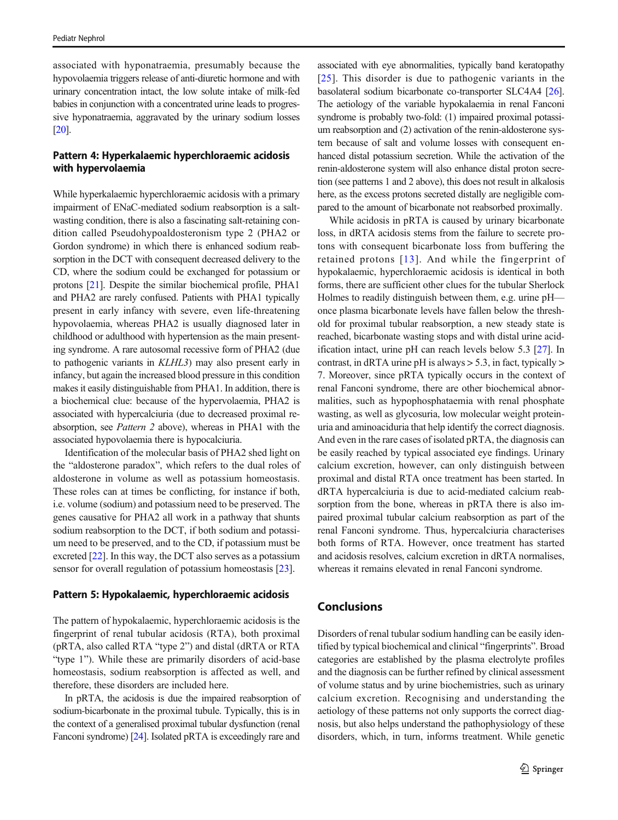associated with hyponatraemia, presumably because the hypovolaemia triggers release of anti-diuretic hormone and with urinary concentration intact, the low solute intake of milk-fed babies in conjunction with a concentrated urine leads to progressive hyponatraemia, aggravated by the urinary sodium losses [\[20](#page-7-0)].

#### Pattern 4: Hyperkalaemic hyperchloraemic acidosis with hypervolaemia

While hyperkalaemic hyperchloraemic acidosis with a primary impairment of ENaC-mediated sodium reabsorption is a saltwasting condition, there is also a fascinating salt-retaining condition called Pseudohypoaldosteronism type 2 (PHA2 or Gordon syndrome) in which there is enhanced sodium reabsorption in the DCT with consequent decreased delivery to the CD, where the sodium could be exchanged for potassium or protons [\[21](#page-7-0)]. Despite the similar biochemical profile, PHA1 and PHA2 are rarely confused. Patients with PHA1 typically present in early infancy with severe, even life-threatening hypovolaemia, whereas PHA2 is usually diagnosed later in childhood or adulthood with hypertension as the main presenting syndrome. A rare autosomal recessive form of PHA2 (due to pathogenic variants in KLHL3) may also present early in infancy, but again the increased blood pressure in this condition makes it easily distinguishable from PHA1. In addition, there is a biochemical clue: because of the hypervolaemia, PHA2 is associated with hypercalciuria (due to decreased proximal reabsorption, see Pattern 2 above), whereas in PHA1 with the associated hypovolaemia there is hypocalciuria.

Identification of the molecular basis of PHA2 shed light on the "aldosterone paradox", which refers to the dual roles of aldosterone in volume as well as potassium homeostasis. These roles can at times be conflicting, for instance if both, i.e. volume (sodium) and potassium need to be preserved. The genes causative for PHA2 all work in a pathway that shunts sodium reabsorption to the DCT, if both sodium and potassium need to be preserved, and to the CD, if potassium must be excreted [[22\]](#page-7-0). In this way, the DCT also serves as a potassium sensor for overall regulation of potassium homeostasis [\[23\]](#page-7-0).

#### Pattern 5: Hypokalaemic, hyperchloraemic acidosis

The pattern of hypokalaemic, hyperchloraemic acidosis is the fingerprint of renal tubular acidosis (RTA), both proximal (pRTA, also called RTA "type 2") and distal (dRTA or RTA "type 1"). While these are primarily disorders of acid-base homeostasis, sodium reabsorption is affected as well, and therefore, these disorders are included here.

In pRTA, the acidosis is due the impaired reabsorption of sodium-bicarbonate in the proximal tubule. Typically, this is in the context of a generalised proximal tubular dysfunction (renal Fanconi syndrome) [[24](#page-7-0)]. Isolated pRTA is exceedingly rare and

associated with eye abnormalities, typically band keratopathy [[25\]](#page-7-0). This disorder is due to pathogenic variants in the basolateral sodium bicarbonate co-transporter SLC4A4 [\[26\]](#page-7-0). The aetiology of the variable hypokalaemia in renal Fanconi syndrome is probably two-fold: (1) impaired proximal potassium reabsorption and (2) activation of the renin-aldosterone system because of salt and volume losses with consequent enhanced distal potassium secretion. While the activation of the renin-aldosterone system will also enhance distal proton secretion (see patterns 1 and 2 above), this does not result in alkalosis here, as the excess protons secreted distally are negligible compared to the amount of bicarbonate not reabsorbed proximally.

While acidosis in pRTA is caused by urinary bicarbonate loss, in dRTA acidosis stems from the failure to secrete protons with consequent bicarbonate loss from buffering the retained protons [[13](#page-7-0)]. And while the fingerprint of hypokalaemic, hyperchloraemic acidosis is identical in both forms, there are sufficient other clues for the tubular Sherlock Holmes to readily distinguish between them, e.g. urine pH once plasma bicarbonate levels have fallen below the threshold for proximal tubular reabsorption, a new steady state is reached, bicarbonate wasting stops and with distal urine acidification intact, urine pH can reach levels below 5.3 [[27](#page-7-0)]. In contrast, in dRTA urine  $pH$  is always  $> 5.3$ , in fact, typically  $>$ 7. Moreover, since pRTA typically occurs in the context of renal Fanconi syndrome, there are other biochemical abnormalities, such as hypophosphataemia with renal phosphate wasting, as well as glycosuria, low molecular weight proteinuria and aminoaciduria that help identify the correct diagnosis. And even in the rare cases of isolated pRTA, the diagnosis can be easily reached by typical associated eye findings. Urinary calcium excretion, however, can only distinguish between proximal and distal RTA once treatment has been started. In dRTA hypercalciuria is due to acid-mediated calcium reabsorption from the bone, whereas in pRTA there is also impaired proximal tubular calcium reabsorption as part of the renal Fanconi syndrome. Thus, hypercalciuria characterises both forms of RTA. However, once treatment has started and acidosis resolves, calcium excretion in dRTA normalises, whereas it remains elevated in renal Fanconi syndrome.

## Conclusions

Disorders of renal tubular sodium handling can be easily identified by typical biochemical and clinical "fingerprints". Broad categories are established by the plasma electrolyte profiles and the diagnosis can be further refined by clinical assessment of volume status and by urine biochemistries, such as urinary calcium excretion. Recognising and understanding the aetiology of these patterns not only supports the correct diagnosis, but also helps understand the pathophysiology of these disorders, which, in turn, informs treatment. While genetic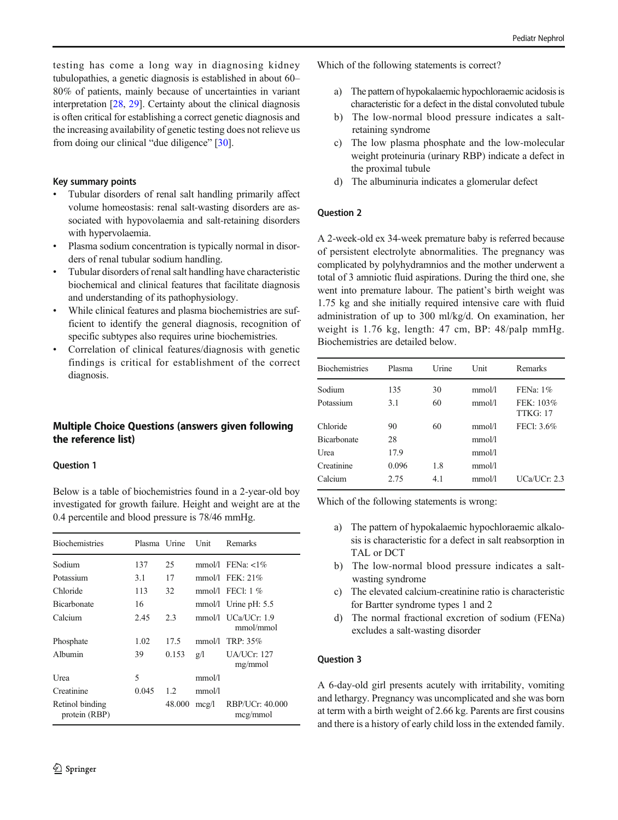testing has come a long way in diagnosing kidney tubulopathies, a genetic diagnosis is established in about 60– 80% of patients, mainly because of uncertainties in variant interpretation [[28,](#page-7-0) [29](#page-7-0)]. Certainty about the clinical diagnosis is often critical for establishing a correct genetic diagnosis and the increasing availability of genetic testing does not relieve us from doing our clinical "due diligence" [\[30\]](#page-7-0).

## Key summary points

- Tubular disorders of renal salt handling primarily affect volume homeostasis: renal salt-wasting disorders are associated with hypovolaemia and salt-retaining disorders with hypervolaemia.
- Plasma sodium concentration is typically normal in disorders of renal tubular sodium handling.
- Tubular disorders of renal salt handling have characteristic biochemical and clinical features that facilitate diagnosis and understanding of its pathophysiology.
- & While clinical features and plasma biochemistries are sufficient to identify the general diagnosis, recognition of specific subtypes also requires urine biochemistries.
- Correlation of clinical features/diagnosis with genetic findings is critical for establishment of the correct diagnosis.

## Multiple Choice Questions (answers given following the reference list)

#### Question 1

Below is a table of biochemistries found in a 2-year-old boy investigated for growth failure. Height and weight are at the 0.4 percentile and blood pressure is 78/46 mmHg.

| <b>Biochemistries</b>            | Plasma Urine |        | Unit   | <b>Remarks</b>                     |
|----------------------------------|--------------|--------|--------|------------------------------------|
| Sodium                           | 137          | 25     |        | $mmol/l$ FENa: <1%                 |
| Potassium                        | 3.1          | 17     |        | $mmol/l$ FEK $: 21\%$              |
| Chloride                         | 113          | 32     |        | mmol/l FECI: $1\%$                 |
| <b>Bicarbonate</b>               | 16           |        |        | $mmol/l$ Urine pH: 5.5             |
| Calcium                          | 2.45         | 2.3    |        | $mmol/l$ UCa/UCr: 1.9<br>mmol/mmol |
| Phosphate                        | 1.02         | 17.5   |        | $mmol/l$ TRP: 35%                  |
| Albumin                          | 39           | 0.153  | g/1    | UA/UCr: 127<br>mg/mmol             |
| Urea                             | 5            |        | mmol/l |                                    |
| Creatinine                       | 0.045        | 1.2    | mmol/l |                                    |
| Retinol binding<br>protein (RBP) |              | 48.000 | mcg/l  | RBP/UCr: 40.000<br>mcg/mmol        |

Which of the following statements is correct?

- a) The pattern of hypokalaemic hypochloraemic acidosis is characteristic for a defect in the distal convoluted tubule
- b) The low-normal blood pressure indicates a saltretaining syndrome
- c) The low plasma phosphate and the low-molecular weight proteinuria (urinary RBP) indicate a defect in the proximal tubule
- d) The albuminuria indicates a glomerular defect

#### Question 2

A 2-week-old ex 34-week premature baby is referred because of persistent electrolyte abnormalities. The pregnancy was complicated by polyhydramnios and the mother underwent a total of 3 amniotic fluid aspirations. During the third one, she went into premature labour. The patient's birth weight was 1.75 kg and she initially required intensive care with fluid administration of up to 300 ml/kg/d. On examination, her weight is 1.76 kg, length: 47 cm, BP: 48/palp mmHg. Biochemistries are detailed below.

| <b>Biochemistries</b> | Plasma | Urine | Unit   | Remarks                      |
|-----------------------|--------|-------|--------|------------------------------|
| Sodium                | 135    | 30    | mmol/l | FENa: $1\%$                  |
| Potassium             | 3.1    | 60    | mmol/l | FEK: 103%<br><b>TTKG: 17</b> |
| Chloride              | 90     | 60    | mmol/l | FECI: 3.6%                   |
| <b>Bicarbonate</b>    | 28     |       | mmol/l |                              |
| Urea                  | 17.9   |       | mmol/l |                              |
| Creatinine            | 0.096  | 1.8   | mmol/l |                              |
| Calcium               | 2.75   | 4.1   | mmol/l | UCa/UCr: 2.3                 |

Which of the following statements is wrong:

- a) The pattern of hypokalaemic hypochloraemic alkalosis is characteristic for a defect in salt reabsorption in TAL or DCT
- b) The low-normal blood pressure indicates a saltwasting syndrome
- c) The elevated calcium-creatinine ratio is characteristic for Bartter syndrome types 1 and 2
- d) The normal fractional excretion of sodium (FENa) excludes a salt-wasting disorder

#### Question 3

A 6-day-old girl presents acutely with irritability, vomiting and lethargy. Pregnancy was uncomplicated and she was born at term with a birth weight of 2.66 kg. Parents are first cousins and there is a history of early child loss in the extended family.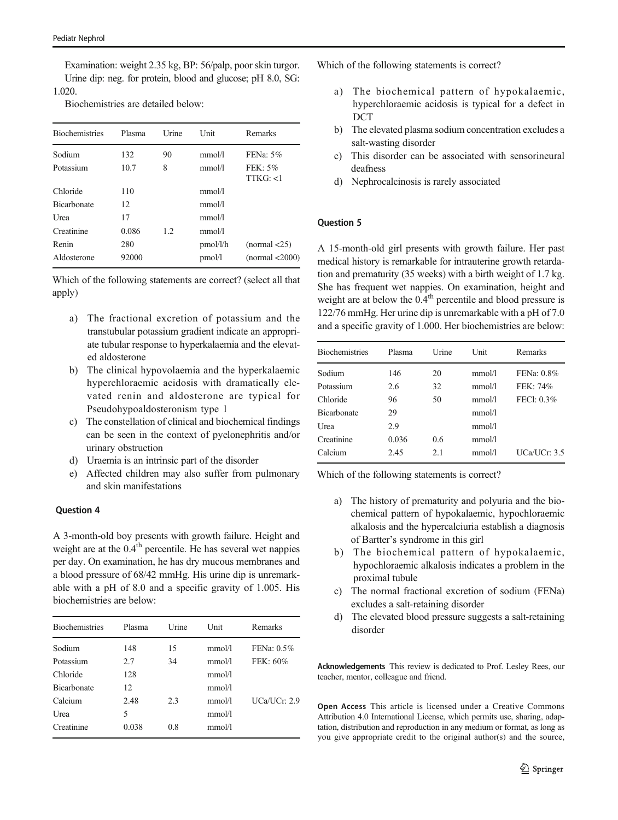Examination: weight 2.35 kg, BP: 56/palp, poor skin turgor. Urine dip: neg. for protein, blood and glucose; pH 8.0, SG: 1.020.

Biochemistries are detailed below:

| <b>Biochemistries</b> | Plasma | Urine | Unit     | Remarks                |
|-----------------------|--------|-------|----------|------------------------|
| Sodium                | 132    | 90    | mmol/1   | FENa: $5%$             |
| Potassium             | 10.7   | 8     | mmol/1   | $FEK: 5\%$<br>TTKG: <1 |
| Chloride              | 110    |       | mmol/l   |                        |
| <b>Bicarbonate</b>    | 12     |       | mmol/1   |                        |
| Urea                  | 17     |       | mmol/l   |                        |
| Creatinine            | 0.086  | 1.2.  | mmol/1   |                        |
| Renin                 | 280    |       | pmol/l/h | (normal < 25)          |
| Aldosterone           | 92000  |       | pmol/l   | (normal < 2000)        |

Which of the following statements are correct? (select all that apply)

- a) The fractional excretion of potassium and the transtubular potassium gradient indicate an appropriate tubular response to hyperkalaemia and the elevated aldosterone
- b) The clinical hypovolaemia and the hyperkalaemic hyperchloraemic acidosis with dramatically elevated renin and aldosterone are typical for Pseudohypoaldosteronism type 1
- c) The constellation of clinical and biochemical findings can be seen in the context of pyelonephritis and/or urinary obstruction
- d) Uraemia is an intrinsic part of the disorder
- e) Affected children may also suffer from pulmonary and skin manifestations

#### Question 4

A 3-month-old boy presents with growth failure. Height and weight are at the  $0.4<sup>th</sup>$  percentile. He has several wet nappies per day. On examination, he has dry mucous membranes and a blood pressure of 68/42 mmHg. His urine dip is unremarkable with a pH of 8.0 and a specific gravity of 1.005. His biochemistries are below:

| <b>Biochemistries</b> | Plasma | Urine | Unit   | Remarks      |
|-----------------------|--------|-------|--------|--------------|
| Sodium                | 148    | 15    | mmol/l | FENa: 0.5%   |
| Potassium             | 2.7    | 34    | mmol/l | FEK: 60%     |
| Chloride              | 128    |       | mmol/l |              |
| <b>Bicarbonate</b>    | 12     |       | mmol/l |              |
| Calcium               | 2.48   | 2.3   | mmol/l | UCa/UCr: 2.9 |
| Urea                  | 5      |       | mmol/l |              |
| Creatinine            | 0.038  | 0.8   | mmol/l |              |

Which of the following statements is correct?

- a) The biochemical pattern of hypokalaemic, hyperchloraemic acidosis is typical for a defect in DCT
- b) The elevated plasma sodium concentration excludes a salt-wasting disorder
- c) This disorder can be associated with sensorineural deafness
- d) Nephrocalcinosis is rarely associated

#### Question 5

A 15-month-old girl presents with growth failure. Her past medical history is remarkable for intrauterine growth retardation and prematurity (35 weeks) with a birth weight of 1.7 kg. She has frequent wet nappies. On examination, height and weight are at below the  $0.4<sup>th</sup>$  percentile and blood pressure is 122/76 mmHg. Her urine dip is unremarkable with a pH of 7.0 and a specific gravity of 1.000. Her biochemistries are below:

| <b>Biochemistries</b> | Plasma | Urine | Unit   | Remarks       |
|-----------------------|--------|-------|--------|---------------|
| Sodium                | 146    | 20    | mmol/l | FENa: 0.8%    |
| Potassium             | 2.6    | 32    | mmol/l | FEK: 74%      |
| Chloride              | 96     | 50    | mmol/l | FECI: $0.3\%$ |
| <b>Bicarbonate</b>    | 29     |       | mmol/l |               |
| Urea                  | 2.9    |       | mmol/l |               |
| Creatinine            | 0.036  | 0.6   | mmol/l |               |
| Calcium               | 2.45   | 2.1   | mmol/l | UCa/UCr: 3.5  |

Which of the following statements is correct?

- a) The history of prematurity and polyuria and the biochemical pattern of hypokalaemic, hypochloraemic alkalosis and the hypercalciuria establish a diagnosis of Bartter's syndrome in this girl
- b) The biochemical pattern of hypokalaemic, hypochloraemic alkalosis indicates a problem in the proximal tubule
- c) The normal fractional excretion of sodium (FENa) excludes a salt-retaining disorder
- d) The elevated blood pressure suggests a salt-retaining disorder

Acknowledgements This review is dedicated to Prof. Lesley Rees, our teacher, mentor, colleague and friend.

Open Access This article is licensed under a Creative Commons Attribution 4.0 International License, which permits use, sharing, adaptation, distribution and reproduction in any medium or format, as long as you give appropriate credit to the original author(s) and the source,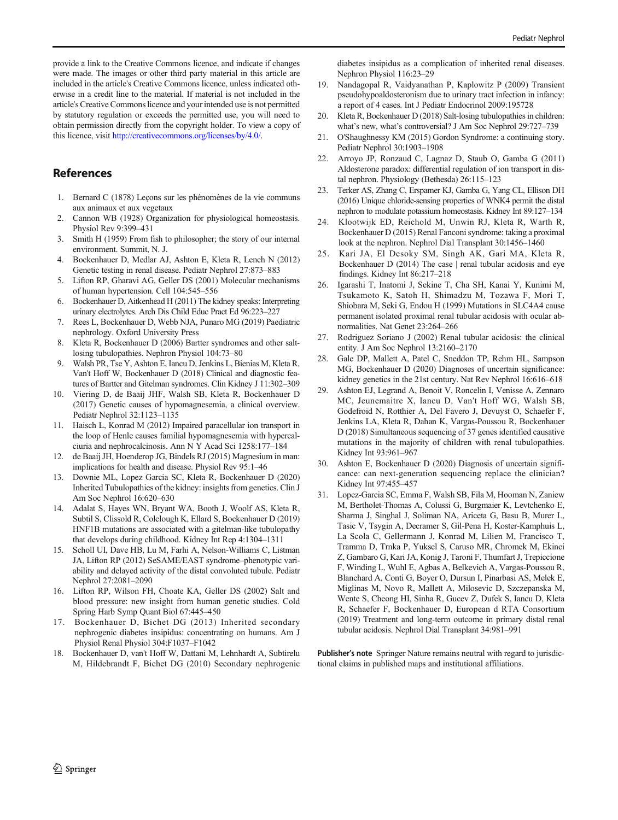<span id="page-7-0"></span>provide a link to the Creative Commons licence, and indicate if changes were made. The images or other third party material in this article are included in the article's Creative Commons licence, unless indicated otherwise in a credit line to the material. If material is not included in the article's Creative Commons licence and your intended use is not permitted by statutory regulation or exceeds the permitted use, you will need to obtain permission directly from the copyright holder. To view a copy of this licence, visit <http://creativecommons.org/licenses/by/4.0/>.

## References

- 1. Bernard C (1878) Leçons sur les phénomènes de la vie communs aux animaux et aux vegetaux
- 2. Cannon WB (1928) Organization for physiological homeostasis. Physiol Rev 9:399–431
- 3. Smith H (1959) From fish to philosopher; the story of our internal environment. Summit, N. J.
- 4. Bockenhauer D, Medlar AJ, Ashton E, Kleta R, Lench N (2012) Genetic testing in renal disease. Pediatr Nephrol 27:873–883
- 5. Lifton RP, Gharavi AG, Geller DS (2001) Molecular mechanisms of human hypertension. Cell 104:545–556
- 6. Bockenhauer D, Aitkenhead H (2011) The kidney speaks: Interpreting urinary electrolytes. Arch Dis Child Educ Pract Ed 96:223–227
- 7. Rees L, Bockenhauer D, Webb NJA, Punaro MG (2019) Paediatric nephrology. Oxford University Press
- 8. Kleta R, Bockenhauer D (2006) Bartter syndromes and other saltlosing tubulopathies. Nephron Physiol 104:73–80
- 9. Walsh PR, Tse Y, Ashton E, Iancu D, Jenkins L, Bienias M, Kleta R, Van't Hoff W, Bockenhauer D (2018) Clinical and diagnostic features of Bartter and Gitelman syndromes. Clin Kidney J 11:302–309
- 10. Viering D, de Baaij JHF, Walsh SB, Kleta R, Bockenhauer D (2017) Genetic causes of hypomagnesemia, a clinical overview. Pediatr Nephrol 32:1123–1135
- 11. Haisch L, Konrad M (2012) Impaired paracellular ion transport in the loop of Henle causes familial hypomagnesemia with hypercalciuria and nephrocalcinosis. Ann N Y Acad Sci 1258:177–184
- 12. de Baaij JH, Hoenderop JG, Bindels RJ (2015) Magnesium in man: implications for health and disease. Physiol Rev 95:1–46
- 13. Downie ML, Lopez Garcia SC, Kleta R, Bockenhauer D (2020) Inherited Tubulopathies of the kidney: insights from genetics. Clin J Am Soc Nephrol 16:620–630
- 14. Adalat S, Hayes WN, Bryant WA, Booth J, Woolf AS, Kleta R, Subtil S, Clissold R, Colclough K, Ellard S, Bockenhauer D (2019) HNF1B mutations are associated with a gitelman-like tubulopathy that develops during childhood. Kidney Int Rep 4:1304–1311
- 15. Scholl UI, Dave HB, Lu M, Farhi A, Nelson-Williams C, Listman JA, Lifton RP (2012) SeSAME/EAST syndrome–phenotypic variability and delayed activity of the distal convoluted tubule. Pediatr Nephrol 27:2081–2090
- 16. Lifton RP, Wilson FH, Choate KA, Geller DS (2002) Salt and blood pressure: new insight from human genetic studies. Cold Spring Harb Symp Quant Biol 67:445–450
- 17. Bockenhauer D, Bichet DG (2013) Inherited secondary nephrogenic diabetes insipidus: concentrating on humans. Am J Physiol Renal Physiol 304:F1037–F1042
- 18. Bockenhauer D, van't Hoff W, Dattani M, Lehnhardt A, Subtirelu M, Hildebrandt F, Bichet DG (2010) Secondary nephrogenic

diabetes insipidus as a complication of inherited renal diseases. Nephron Physiol 116:23–29

- 19. Nandagopal R, Vaidyanathan P, Kaplowitz P (2009) Transient pseudohypoaldosteronism due to urinary tract infection in infancy: a report of 4 cases. Int J Pediatr Endocrinol 2009:195728
- 20. Kleta R, Bockenhauer D (2018) Salt-losing tubulopathies in children: what's new, what's controversial? J Am Soc Nephrol 29:727–739
- 21. O'Shaughnessy KM (2015) Gordon Syndrome: a continuing story. Pediatr Nephrol 30:1903–1908
- 22. Arroyo JP, Ronzaud C, Lagnaz D, Staub O, Gamba G (2011) Aldosterone paradox: differential regulation of ion transport in distal nephron. Physiology (Bethesda) 26:115–123
- 23. Terker AS, Zhang C, Erspamer KJ, Gamba G, Yang CL, Ellison DH (2016) Unique chloride-sensing properties of WNK4 permit the distal nephron to modulate potassium homeostasis. Kidney Int 89:127–134
- 24. Klootwijk ED, Reichold M, Unwin RJ, Kleta R, Warth R, Bockenhauer D (2015) Renal Fanconi syndrome: taking a proximal look at the nephron. Nephrol Dial Transplant 30:1456–1460
- 25. Kari JA, El Desoky SM, Singh AK, Gari MA, Kleta R, Bockenhauer D (2014) The case | renal tubular acidosis and eye findings. Kidney Int 86:217–218
- 26. Igarashi T, Inatomi J, Sekine T, Cha SH, Kanai Y, Kunimi M, Tsukamoto K, Satoh H, Shimadzu M, Tozawa F, Mori T, Shiobara M, Seki G, Endou H (1999) Mutations in SLC4A4 cause permanent isolated proximal renal tubular acidosis with ocular abnormalities. Nat Genet 23:264–266
- 27. Rodriguez Soriano J (2002) Renal tubular acidosis: the clinical entity. J Am Soc Nephrol 13:2160–2170
- 28. Gale DP, Mallett A, Patel C, Sneddon TP, Rehm HL, Sampson MG, Bockenhauer D (2020) Diagnoses of uncertain significance: kidney genetics in the 21st century. Nat Rev Nephrol 16:616–618
- 29. Ashton EJ, Legrand A, Benoit V, Roncelin I, Venisse A, Zennaro MC, Jeunemaitre X, Iancu D, Van't Hoff WG, Walsh SB, Godefroid N, Rotthier A, Del Favero J, Devuyst O, Schaefer F, Jenkins LA, Kleta R, Dahan K, Vargas-Poussou R, Bockenhauer D (2018) Simultaneous sequencing of 37 genes identified causative mutations in the majority of children with renal tubulopathies. Kidney Int 93:961–967
- 30. Ashton E, Bockenhauer D (2020) Diagnosis of uncertain significance: can next-generation sequencing replace the clinician? Kidney Int 97:455–457
- 31. Lopez-Garcia SC, Emma F, Walsh SB, Fila M, Hooman N, Zaniew M, Bertholet-Thomas A, Colussi G, Burgmaier K, Levtchenko E, Sharma J, Singhal J, Soliman NA, Ariceta G, Basu B, Murer L, Tasic V, Tsygin A, Decramer S, Gil-Pena H, Koster-Kamphuis L, La Scola C, Gellermann J, Konrad M, Lilien M, Francisco T, Tramma D, Trnka P, Yuksel S, Caruso MR, Chromek M, Ekinci Z, Gambaro G, Kari JA, Konig J, Taroni F, Thumfart J, Trepiccione F, Winding L, Wuhl E, Agbas A, Belkevich A, Vargas-Poussou R, Blanchard A, Conti G, Boyer O, Dursun I, Pinarbasi AS, Melek E, Miglinas M, Novo R, Mallett A, Milosevic D, Szczepanska M, Wente S, Cheong HI, Sinha R, Gucev Z, Dufek S, Iancu D, Kleta R, Schaefer F, Bockenhauer D, European d RTA Consortium (2019) Treatment and long-term outcome in primary distal renal tubular acidosis. Nephrol Dial Transplant 34:981–991

Publisher's note Springer Nature remains neutral with regard to jurisdictional claims in published maps and institutional affiliations.